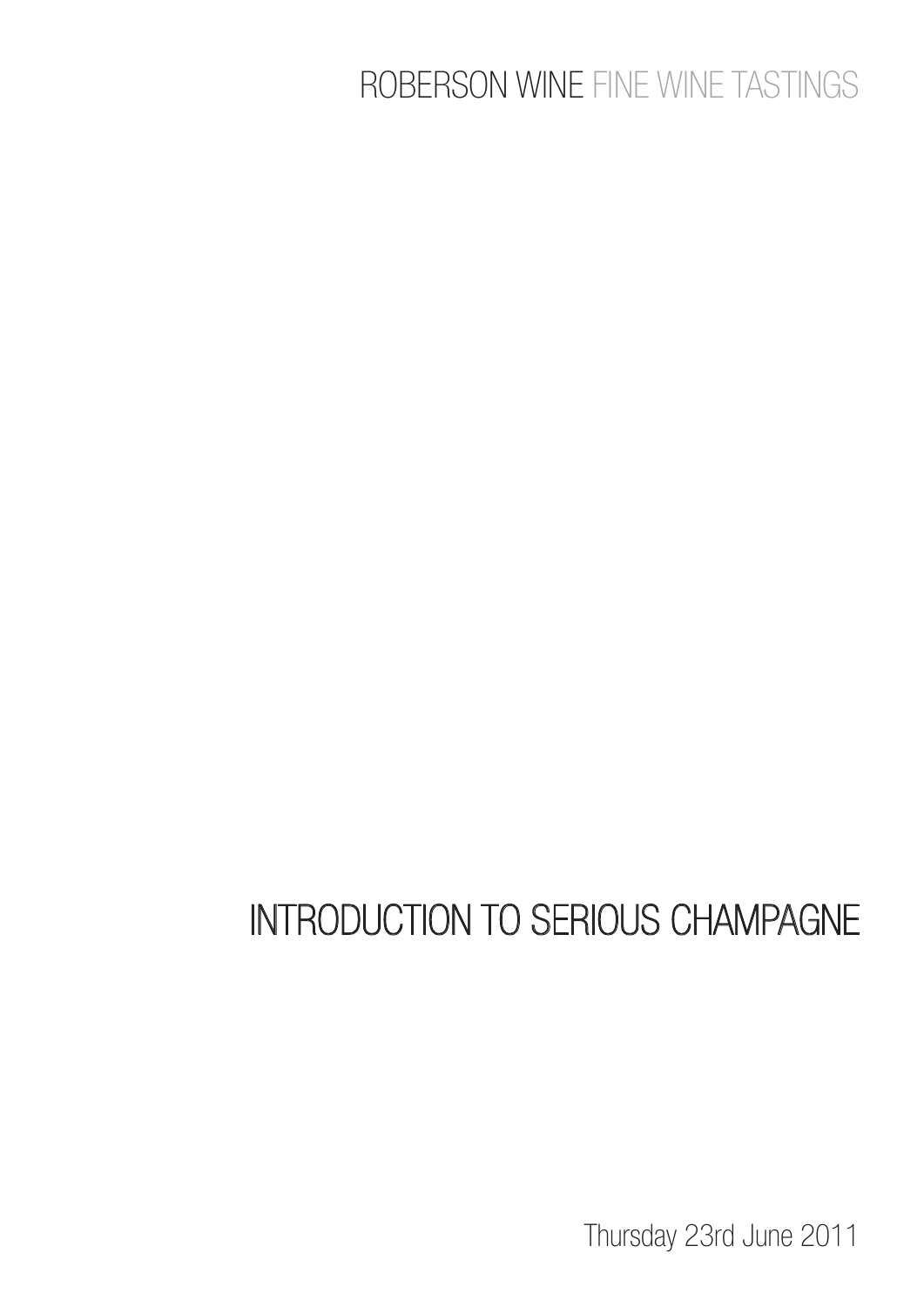### ROBERSON WINE FINE WINE TASTINGS

# INTRODUCTION TO SERIOUS CHAMPAGNE

Thursday 23rd June 2011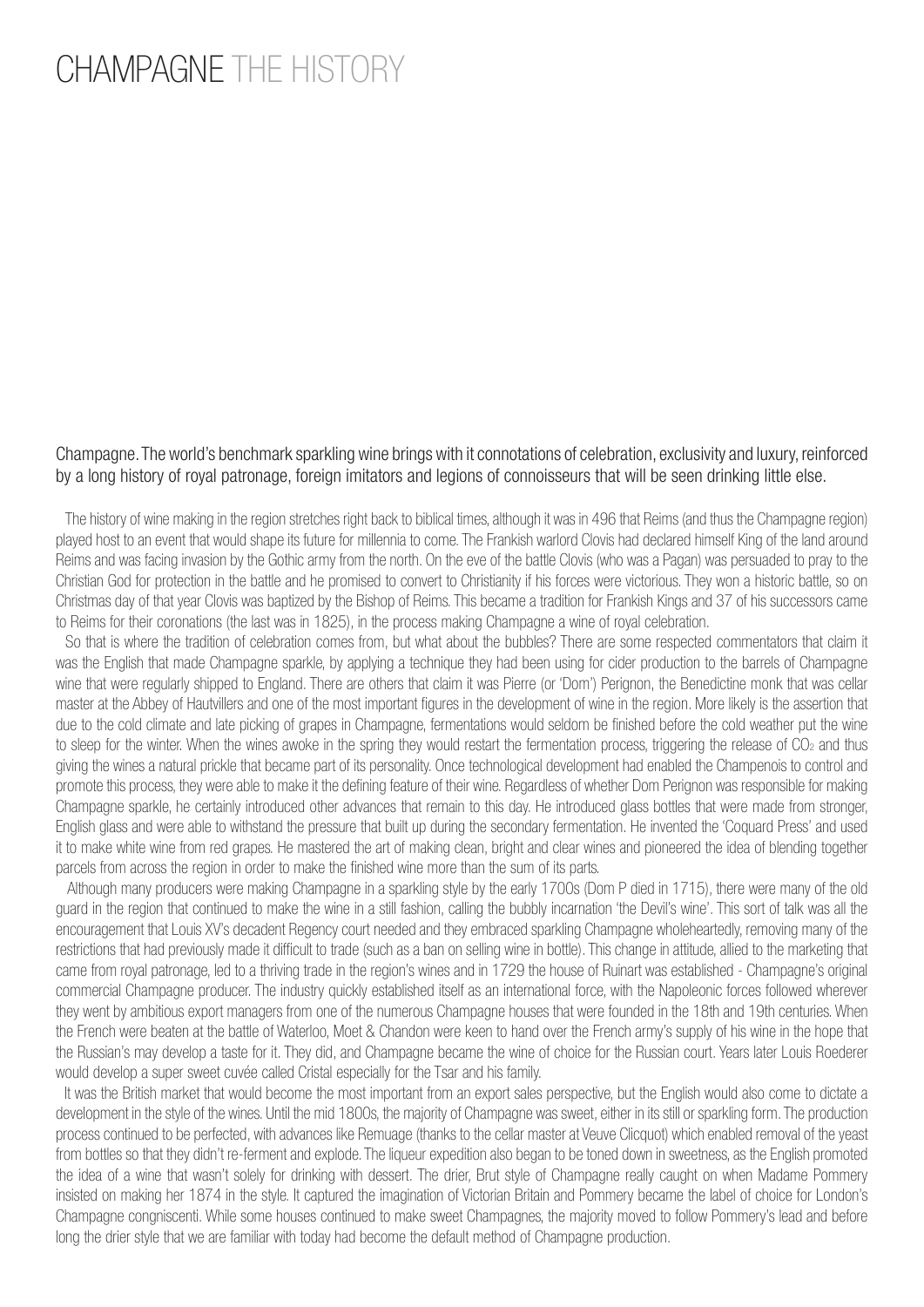### CHAMPAGNE THE HISTORY

#### Champagne. The world's benchmark sparkling wine brings with it connotations of celebration, exclusivity and luxury, reinforced by a long history of royal patronage, foreign imitators and legions of connoisseurs that will be seen drinking little else.

 The history of wine making in the region stretches right back to biblical times, although it was in 496 that Reims (and thus the Champagne region) played host to an event that would shape its future for millennia to come. The Frankish warlord Clovis had declared himself King of the land around Reims and was facing invasion by the Gothic army from the north. On the eve of the battle Clovis (who was a Pagan) was persuaded to pray to the Christian God for protection in the battle and he promised to convert to Christianity if his forces were victorious. They won a historic battle, so on Christmas day of that year Clovis was baptized by the Bishop of Reims. This became a tradition for Frankish Kings and 37 of his successors came to Reims for their coronations (the last was in 1825), in the process making Champagne a wine of royal celebration.

 So that is where the tradition of celebration comes from, but what about the bubbles? There are some respected commentators that claim it was the English that made Champagne sparkle, by applying a technique they had been using for cider production to the barrels of Champagne wine that were regularly shipped to England. There are others that claim it was Pierre (or 'Dom') Perignon, the Benedictine monk that was cellar master at the Abbey of Hautvillers and one of the most important figures in the development of wine in the region. More likely is the assertion that due to the cold climate and late picking of grapes in Champagne, fermentations would seldom be finished before the cold weather put the wine to sleep for the winter. When the wines awoke in the spring they would restart the fermentation process, triggering the release of CO<sub>2</sub> and thus giving the wines a natural prickle that became part of its personality. Once technological development had enabled the Champenois to control and promote this process, they were able to make it the defining feature of their wine. Regardless of whether Dom Perignon was responsible for making Champagne sparkle, he certainly introduced other advances that remain to this day. He introduced glass bottles that were made from stronger, English glass and were able to withstand the pressure that built up during the secondary fermentation. He invented the 'Coquard Press' and used it to make white wine from red grapes. He mastered the art of making clean, bright and clear wines and pioneered the idea of blending together parcels from across the region in order to make the finished wine more than the sum of its parts.

 Although many producers were making Champagne in a sparkling style by the early 1700s (Dom P died in 1715), there were many of the old guard in the region that continued to make the wine in a still fashion, calling the bubbly incarnation 'the Devil's wine'. This sort of talk was all the encouragement that Louis XV's decadent Regency court needed and they embraced sparkling Champagne wholeheartedly, removing many of the restrictions that had previously made it difficult to trade (such as a ban on selling wine in bottle). This change in attitude, allied to the marketing that came from royal patronage, led to a thriving trade in the region's wines and in 1729 the house of Ruinart was established - Champagne's original commercial Champagne producer. The industry quickly established itself as an international force, with the Napoleonic forces followed wherever they went by ambitious export managers from one of the numerous Champagne houses that were founded in the 18th and 19th centuries. When the French were beaten at the battle of Waterloo, Moet & Chandon were keen to hand over the French army's supply of his wine in the hope that the Russian's may develop a taste for it. They did, and Champagne became the wine of choice for the Russian court. Years later Louis Roederer would develop a super sweet cuvée called Cristal especially for the Tsar and his family.

 It was the British market that would become the most important from an export sales perspective, but the English would also come to dictate a development in the style of the wines. Until the mid 1800s, the majority of Champagne was sweet, either in its still or sparkling form. The production process continued to be perfected, with advances like Remuage (thanks to the cellar master at Veuve Clicquot) which enabled removal of the yeast from bottles so that they didn't re-ferment and explode. The liqueur expedition also began to be toned down in sweetness, as the English promoted the idea of a wine that wasn't solely for drinking with dessert. The drier, Brut style of Champagne really caught on when Madame Pommery insisted on making her 1874 in the style. It captured the imagination of Victorian Britain and Pommery became the label of choice for London's Champagne congniscenti. While some houses continued to make sweet Champagnes, the majority moved to follow Pommery's lead and before long the drier style that we are familiar with today had become the default method of Champagne production.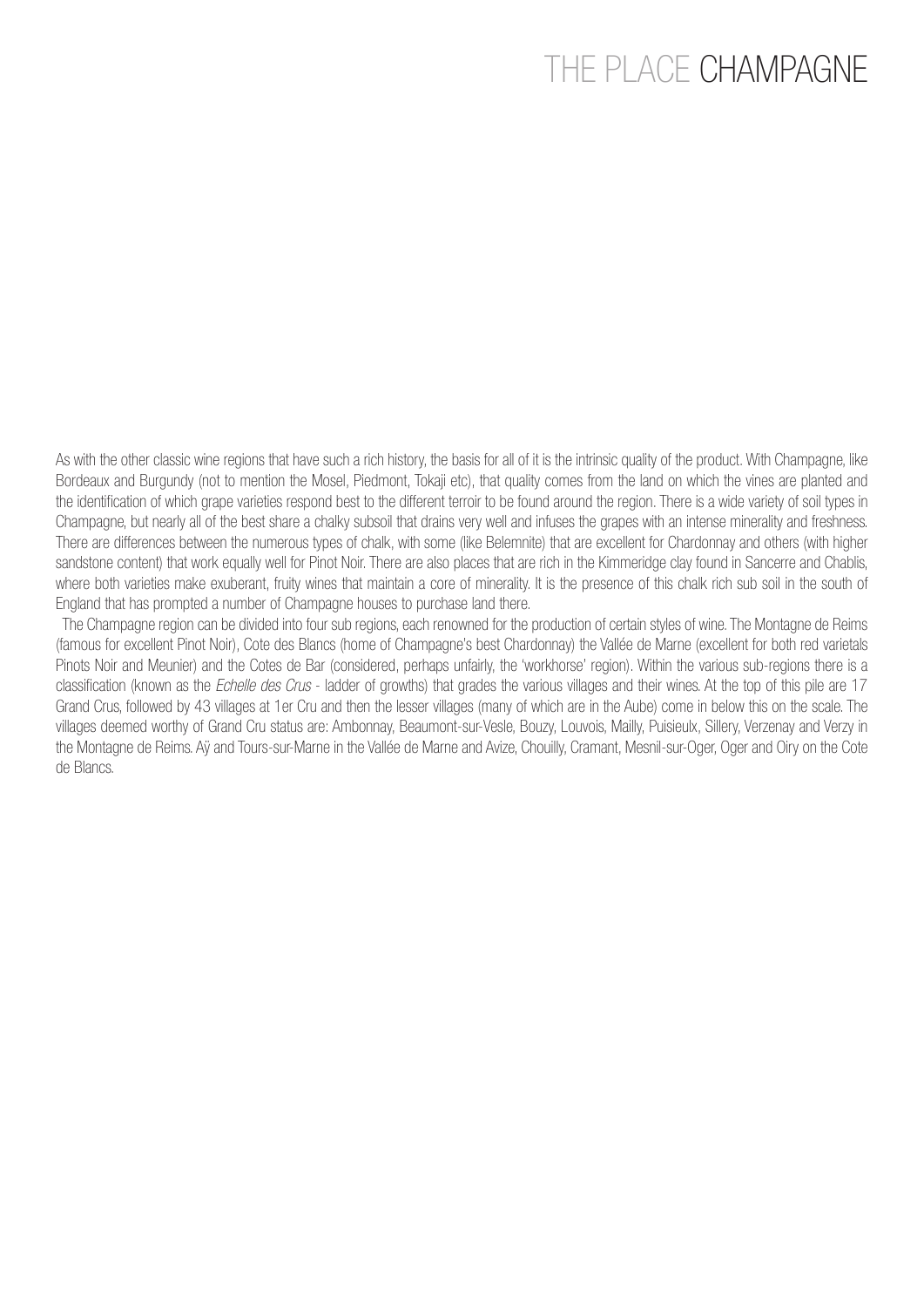### THE PLACE CHAMPAGNE

As with the other classic wine regions that have such a rich history, the basis for all of it is the intrinsic quality of the product. With Champagne, like Bordeaux and Burgundy (not to mention the Mosel, Piedmont, Tokaji etc), that quality comes from the land on which the vines are planted and the identification of which grape varieties respond best to the different terroir to be found around the region. There is a wide variety of soil types in Champagne, but nearly all of the best share a chalky subsoil that drains very well and infuses the grapes with an intense minerality and freshness. There are differences between the numerous types of chalk, with some (like Belemnite) that are excellent for Chardonnay and others (with higher sandstone content) that work equally well for Pinot Noir. There are also places that are rich in the Kimmeridge clay found in Sancerre and Chablis, where both varieties make exuberant, fruity wines that maintain a core of minerality. It is the presence of this chalk rich sub soil in the south of England that has prompted a number of Champagne houses to purchase land there.

 The Champagne region can be divided into four sub regions, each renowned for the production of certain styles of wine. The Montagne de Reims (famous for excellent Pinot Noir), Cote des Blancs (home of Champagne's best Chardonnay) the Vallée de Marne (excellent for both red varietals Pinots Noir and Meunier) and the Cotes de Bar (considered, perhaps unfairly, the 'workhorse' region). Within the various sub-regions there is a classification (known as the Echelle des Crus - ladder of growths) that grades the various villages and their wines. At the top of this pile are 17 Grand Crus, followed by 43 villages at 1er Cru and then the lesser villages (many of which are in the Aube) come in below this on the scale. The villages deemed worthy of Grand Cru status are: Ambonnay, Beaumont-sur-Vesle, Bouzy, Louvois, Mailly, Puisieulx, Sillery, Verzenay and Verzy in the Montagne de Reims. Aÿ and Tours-sur-Marne in the Vallée de Marne and Avize, Chouilly, Cramant, Mesnil-sur-Oger, Oger and Oiry on the Cote de Blancs.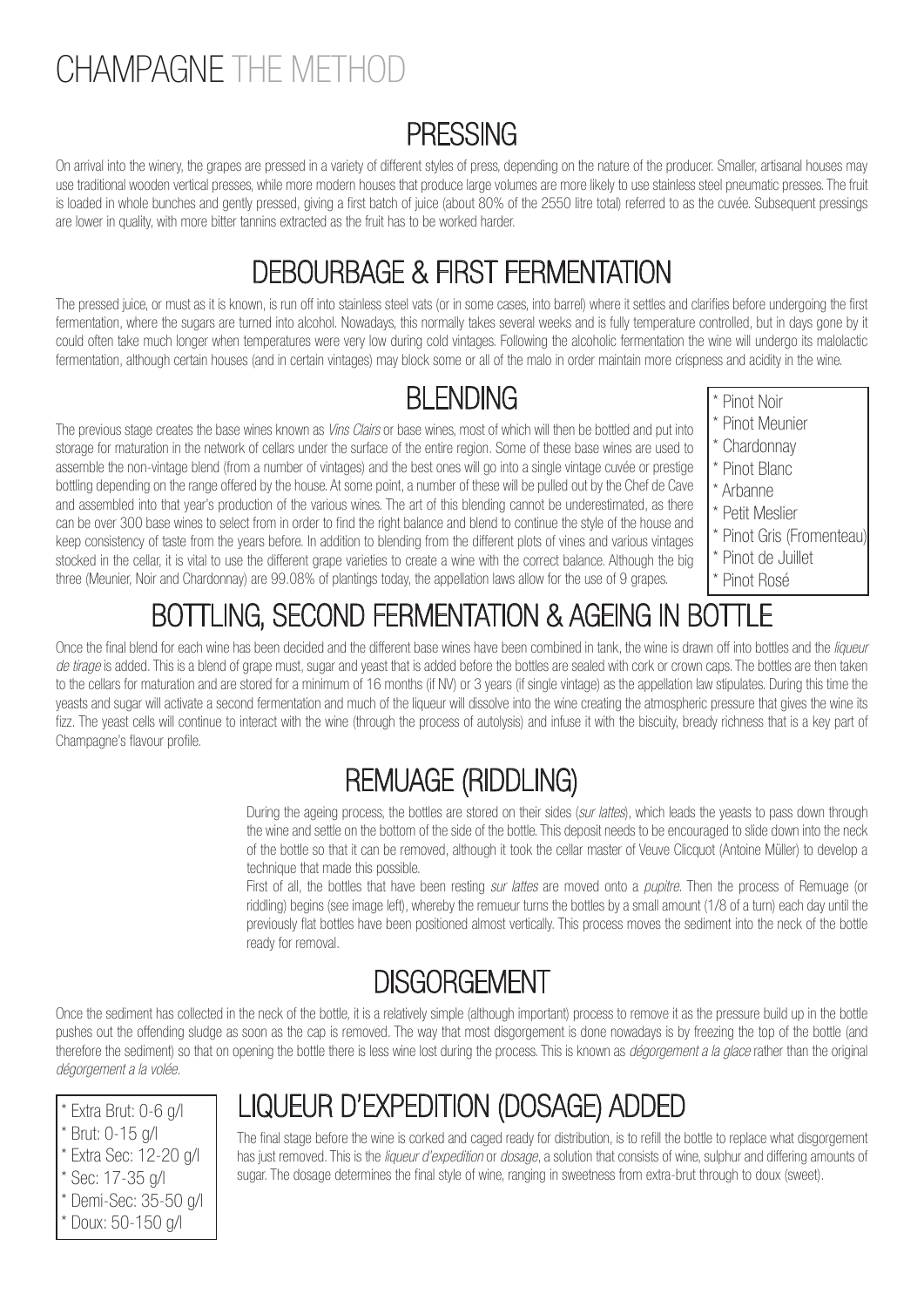## CHAMPAGNE THE METHOD

#### PRESSING

On arrival into the winery, the grapes are pressed in a variety of different styles of press, depending on the nature of the producer. Smaller, artisanal houses may use traditional wooden vertical presses, while more modern houses that produce large volumes are more likely to use stainless steel pneumatic presses. The fruit is loaded in whole bunches and gently pressed, giving a first batch of juice (about 80% of the 2550 litre total) referred to as the cuvée. Subsequent pressings are lower in quality, with more bitter tannins extracted as the fruit has to be worked harder.

#### DEBOURBAGE & FIRST FERMENTATION

The pressed juice, or must as it is known, is run off into stainless steel vats (or in some cases, into barrel) where it settles and clarifies before undergoing the first fermentation, where the sugars are turned into alcohol. Nowadays, this normally takes several weeks and is fully temperature controlled, but in days gone by it could often take much longer when temperatures were very low during cold vintages. Following the alcoholic fermentation the wine will undergo its malolactic fermentation, although certain houses (and in certain vintages) may block some or all of the malo in order maintain more crispness and acidity in the wine.

#### **BI FNDING**

The previous stage creates the base wines known as Vins Clairs or base wines, most of which will then be bottled and put into storage for maturation in the network of cellars under the surface of the entire region. Some of these base wines are used to assemble the non-vintage blend (from a number of vintages) and the best ones will go into a single vintage cuvée or prestige bottling depending on the range offered by the house. At some point, a number of these will be pulled out by the Chef de Cave and assembled into that year's production of the various wines. The art of this blending cannot be underestimated, as there can be over 300 base wines to select from in order to find the right balance and blend to continue the style of the house and keep consistency of taste from the years before. In addition to blending from the different plots of vines and various vintages stocked in the cellar, it is vital to use the different grape varieties to create a wine with the correct balance. Although the big three (Meunier, Noir and Chardonnay) are 99.08% of plantings today, the appellation laws allow for the use of 9 grapes.

- \* Pinot Noir
- \* Pinot Meunier
- Chardonnay
- \* Pinot Blanc
- \* Arbanne
- \* Petit Meslier
- \* Pinot Gris (Fromenteau)
- \* Pinot de Juillet
- \* Pinot Rosé

### BOTTLING, SECOND FERMENTATION & AGEING IN BOTTLE

Once the final blend for each wine has been decided and the different base wines have been combined in tank, the wine is drawn off into bottles and the liqueur de tirage is added. This is a blend of grape must, sugar and yeast that is added before the bottles are sealed with cork or crown caps. The bottles are then taken to the cellars for maturation and are stored for a minimum of 16 months (if NV) or 3 years (if single vintage) as the appellation law stipulates. During this time the yeasts and sugar will activate a second fermentation and much of the liqueur will dissolve into the wine creating the atmospheric pressure that gives the wine its fizz. The yeast cells will continue to interact with the wine (through the process of autolysis) and infuse it with the biscuity, bready richness that is a key part of Champagne's flavour profile.

### REMUAGE (RIDDLING)

During the ageing process, the bottles are stored on their sides (sur lattes), which leads the yeasts to pass down through the wine and settle on the bottom of the side of the bottle. This deposit needs to be encouraged to slide down into the neck of the bottle so that it can be removed, although it took the cellar master of Veuve Clicquot (Antoine Müller) to develop a technique that made this possible.

First of all, the bottles that have been resting *sur lattes* are moved onto a *pupitre*. Then the process of Remuage (or riddling) begins (see image left), whereby the remueur turns the bottles by a small amount (1/8 of a turn) each day until the previously flat bottles have been positioned almost vertically. This process moves the sediment into the neck of the bottle ready for removal.

#### **DISGORGEMENT**

Once the sediment has collected in the neck of the bottle, it is a relatively simple (although important) process to remove it as the pressure build up in the bottle pushes out the offending sludge as soon as the cap is removed. The way that most disgorgement is done nowadays is by freezing the top of the bottle (and therefore the sediment) so that on opening the bottle there is less wine lost during the process. This is known as *dégorgement a la glace* rather than the original dégorgement a la volée.

\* Extra Brut: 0-6 g/l Brut: 0-15 g/l \* Extra Sec: 12-20 g/l Sec: 17-35 g/l \* Demi-Sec: 35-50 g/l

Doux: 50-150 g/l

### LIQUEUR D'EXPEDITION (DOSAGE) ADDED

The final stage before the wine is corked and caged ready for distribution, is to refill the bottle to replace what disgorgement has just removed. This is the *liqueur d'expedition* or *dosage*, a solution that consists of wine, sulphur and differing amounts of sugar. The dosage determines the final style of wine, ranging in sweetness from extra-brut through to doux (sweet).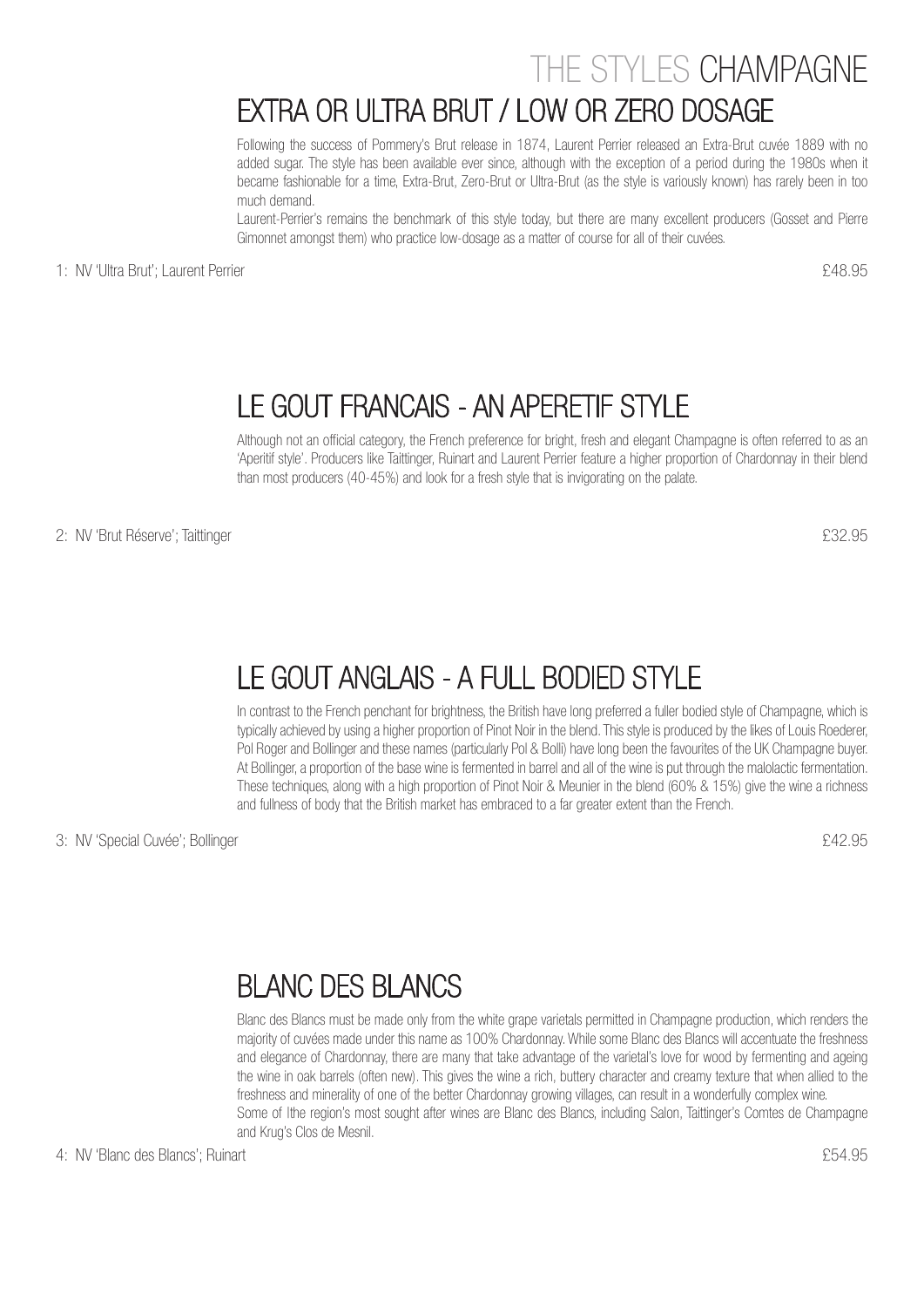#### THE STYLES CHAMPAGNE

#### EXTRA OR ULTRA BRUT / LOW OR ZERO DOSAGE

Following the success of Pommery's Brut release in 1874, Laurent Perrier released an Extra-Brut cuvée 1889 with no added sugar. The style has been available ever since, although with the exception of a period during the 1980s when it became fashionable for a time, Extra-Brut, Zero-Brut or Ultra-Brut (as the style is variously known) has rarely been in too much demand.

Laurent-Perrier's remains the benchmark of this style today, but there are many excellent producers (Gosset and Pierre Gimonnet amongst them) who practice low-dosage as a matter of course for all of their cuvées.

1: NV 'Ultra Brut'; Laurent Perrier  $\epsilon$ 48.95

#### LE GOUT FRANCAIS - AN APERETIF STYLE

Although not an official category, the French preference for bright, fresh and elegant Champagne is often referred to as an 'Aperitif style'. Producers like Taittinger, Ruinart and Laurent Perrier feature a higher proportion of Chardonnay in their blend than most producers (40-45%) and look for a fresh style that is invigorating on the palate.

2: NV 'Brut Réserve'; Taittinger  $232.95$ 

#### LE GOUT ANGLAIS - A FULL BODIED STYLE

In contrast to the French penchant for brightness, the British have long preferred a fuller bodied style of Champagne, which is typically achieved by using a higher proportion of Pinot Noir in the blend. This style is produced by the likes of Louis Roederer, Pol Roger and Bollinger and these names (particularly Pol & Bolli) have long been the favourites of the UK Champagne buyer. At Bollinger, a proportion of the base wine is fermented in barrel and all of the wine is put through the malolactic fermentation. These techniques, along with a high proportion of Pinot Noir & Meunier in the blend (60% & 15%) give the wine a richness and fullness of body that the British market has embraced to a far greater extent than the French.

3: NV 'Special Cuvée'; Bollinger  $£42.95$ 

#### BLANC DES BLANCS

Blanc des Blancs must be made only from the white grape varietals permitted in Champagne production, which renders the majority of cuvées made under this name as 100% Chardonnay. While some Blanc des Blancs will accentuate the freshness and elegance of Chardonnay, there are many that take advantage of the varietal's love for wood by fermenting and ageing the wine in oak barrels (often new). This gives the wine a rich, buttery character and creamy texture that when allied to the freshness and minerality of one of the better Chardonnay growing villages, can result in a wonderfully complex wine. Some of Ithe region's most sought after wines are Blanc des Blancs, including Salon, Taittinger's Comtes de Champagne and Krug's Clos de Mesnil.

4: NV 'Blanc des Blancs'; Ruinart £54.95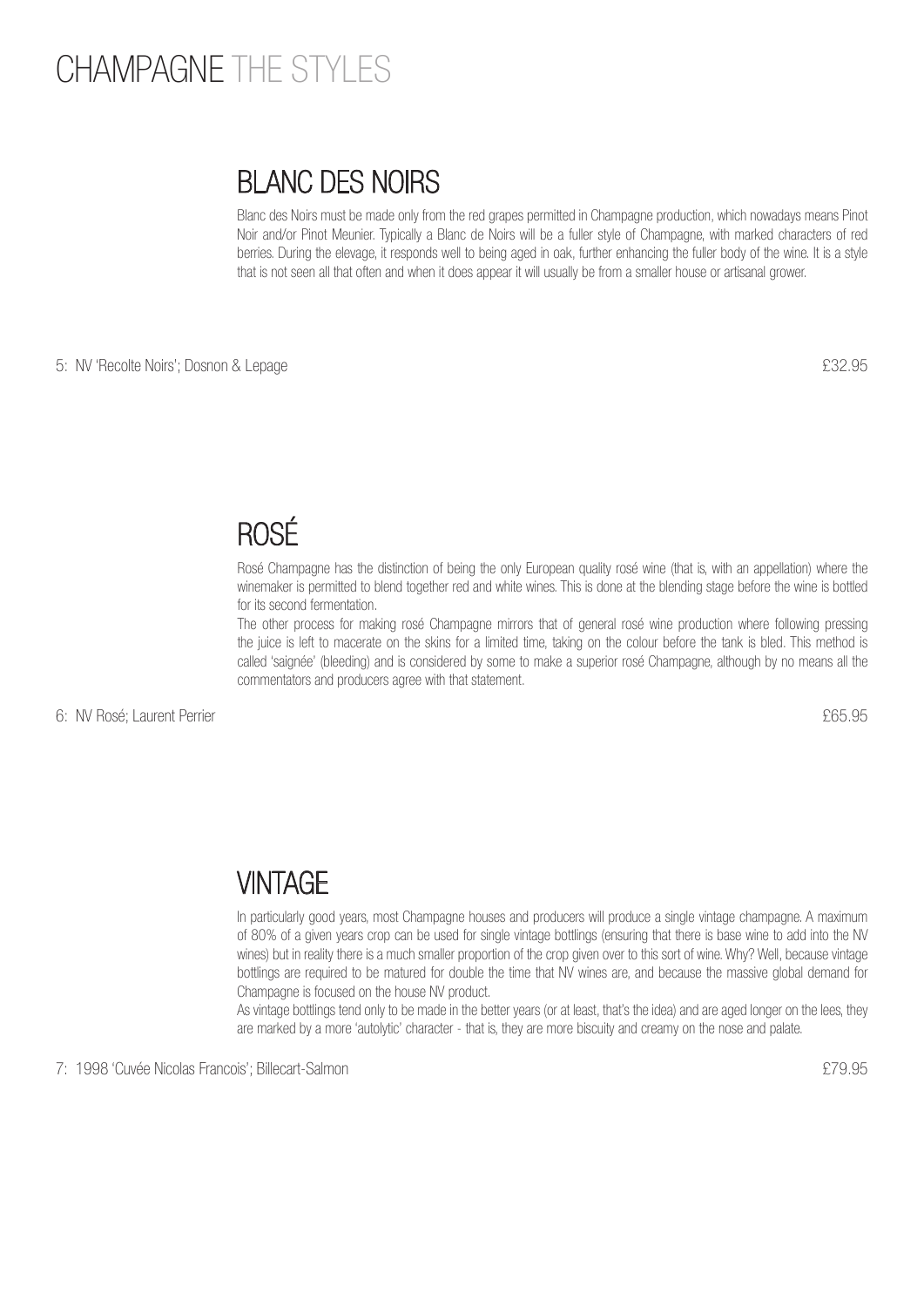### CHAMPAGNE THE STYLES

#### BLANC DES NOIRS

Blanc des Noirs must be made only from the red grapes permitted in Champagne production, which nowadays means Pinot Noir and/or Pinot Meunier. Typically a Blanc de Noirs will be a fuller style of Champagne, with marked characters of red berries. During the elevage, it responds well to being aged in oak, further enhancing the fuller body of the wine. It is a style that is not seen all that often and when it does appear it will usually be from a smaller house or artisanal grower.

5: NV 'Recolte Noirs'; Dosnon & Lepage  $£32.95$ 

#### ROSÉ

Rosé Champagne has the distinction of being the only European quality rosé wine (that is, with an appellation) where the winemaker is permitted to blend together red and white wines. This is done at the blending stage before the wine is bottled for its second fermentation.

The other process for making rosé Champagne mirrors that of general rosé wine production where following pressing the juice is left to macerate on the skins for a limited time, taking on the colour before the tank is bled. This method is called 'saignée' (bleeding) and is considered by some to make a superior rosé Champagne, although by no means all the commentators and producers agree with that statement.

6: NV Rosé; Laurent Perrier £65.95

#### **VINTAGE**

In particularly good years, most Champagne houses and producers will produce a single vintage champagne. A maximum of 80% of a given years crop can be used for single vintage bottlings (ensuring that there is base wine to add into the NV wines) but in reality there is a much smaller proportion of the crop given over to this sort of wine. Why? Well, because vintage bottlings are required to be matured for double the time that NV wines are, and because the massive global demand for Champagne is focused on the house NV product.

As vintage bottlings tend only to be made in the better years (or at least, that's the idea) and are aged longer on the lees, they are marked by a more 'autolytic' character - that is, they are more biscuity and creamy on the nose and palate.

7: 1998 'Cuvée Nicolas Francois'; Billecart-Salmon £79.95